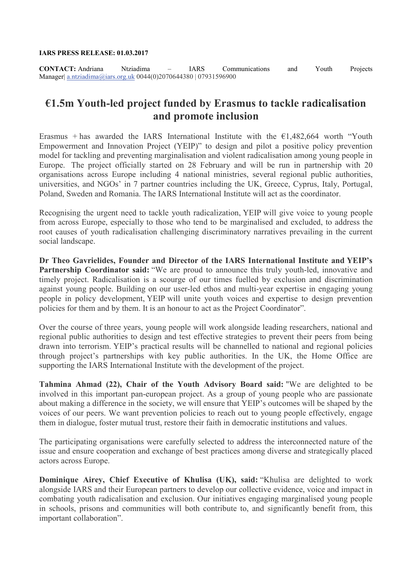#### **IARS PRESS RELEASE: 01.03.2017**

**CONTACT:** Andriana Ntziadima – IARS Communications and Youth Projects Manager| [a.ntziadima@iars.org.uk](mailto:a.ntziadima@iars.org.uk) 0044(0)2070644380 | 07931596900

# **€1.5m Youth-led project funded by Erasmus to tackle radicalisation and promote inclusion**

Erasmus + has awarded the IARS International Institute with the  $\epsilon$ 1,482,664 worth "Youth Empowerment and Innovation Project (YEIP)" to design and pilot a positive policy prevention model for tackling and preventing marginalisation and violent radicalisation among young people in Europe. The project officially started on 28 February and will be run in partnership with 20 organisations across Europe including 4 national ministries, several regional public authorities, universities, and NGOs' in 7 partner countries including the UK, Greece, Cyprus, Italy, Portugal, Poland, Sweden and Romania. The IARS International Institute will act as the coordinator.

Recognising the urgent need to tackle youth radicalization, YEIP will give voice to young people from across Europe, especially to those who tend to be marginalised and excluded, to address the root causes of youth radicalisation challenging discriminatory narratives prevailing in the current social landscape.

**Dr Theo Gavrielides, Founder and Director of the IARS International Institute and YEIP's Partnership Coordinator said:** "We are proud to announce this truly youth-led, innovative and timely project. Radicalisation is a scourge of our times fuelled by exclusion and discrimination against young people. Building on our user-led ethos and multi-year expertise in engaging young people in policy development, YEIP will unite youth voices and expertise to design prevention policies for them and by them. It is an honour to act as the Project Coordinator".

Over the course of three years, young people will work alongside leading researchers, national and regional public authorities to design and test effective strategies to prevent their peers from being drawn into terrorism. YEIP's practical results will be channelled to national and regional policies through project's partnerships with key public authorities. In the UK, the Home Office are supporting the IARS International Institute with the development of the project.

**Tahmina Ahmad (22), Chair of the Youth Advisory Board said:** "We are delighted to be involved in this important pan-european project. As a group of young people who are passionate about making a difference in the society, we will ensure that YEIP's outcomes will be shaped by the voices of our peers. We want prevention policies to reach out to young people effectively, engage them in dialogue, foster mutual trust, restore their faith in democratic institutions and values.

The participating organisations were carefully selected to address the interconnected nature of the issue and ensure cooperation and exchange of best practices among diverse and strategically placed actors across Europe.

**Dominique Airey, Chief Executive of Khulisa (UK), said:** "Khulisa are delighted to work alongside IARS and their European partners to develop our collective evidence, voice and impact in combating youth radicalisation and exclusion. Our initiatives engaging marginalised young people in schools, prisons and communities will both contribute to, and significantly benefit from, this important collaboration".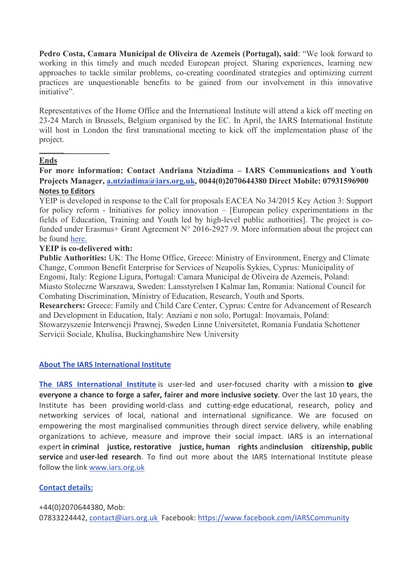**Pedro Costa, Camara Municipal de Oliveira de Azemeis (Portugal), said**: "We look forward to working in this timely and much needed European project. Sharing experiences, learning new approaches to tackle similar problems, co-creating coordinated strategies and optimizing current practices are unquestionable benefits to be gained from our involvement in this innovative initiative".

Representatives of the Home Office and the International Institute will attend a kick off meeting on 23-24 March in Brussels, Belgium organised by the EC. In April, the IARS International Institute will host in London the first transnational meeting to kick off the implementation phase of the project.

# **Ends**

**\_\_\_\_\_\_\_\_\_\_\_\_\_\_\_\_\_**

**For more information: Contact Andriana Ntziadima – IARS Communications and Youth Projects Manager, [a.ntziadima@iars.org.uk,](mailto:a.ntziadima@iars.org.uk) 0044(0)2070644380 Direct Mobile: 07931596900 Notes to Editors**

YEIP is developed in response to the Call for proposals EACEA No 34/2015 Key Action 3: Support for policy reform - Initiatives for policy innovation – [European policy experimentations in the fields of Education, Training and Youth led by high-level public authorities]. The project is cofunded under Erasmus+ Grant Agreement  $N^{\circ}$  2016-2927 /9. More information about the project can be found [here.](http://www.iars.org.uk/content/youth-empowerment-and-innovation-project-yeip)

### **YEIP is co-delivered with:**

**Public Authorities:** UK: The Home Office, Greece: Ministry of Environment, Energy and Climate Change, Common Benefit Enterprise for Services of Neapolis Sykies, Cyprus: Municipality of Engomi, Italy: Regione Ligura, Portugal: Camara Municipal de Oliveira de Azemeis, Poland: Miasto Stoleczne Warszawa, Sweden: Lansstyrelsen I Kalmar Ian, Romania: National Council for Combating Discrimination, Ministry of Education, Research, Youth and Sports.

**Researchers:** Greece: Family and Child Care Center, Cyprus: Centre for Advancement of Research and Development in Education, Italy: Anziani e non solo, Portugal: Inovamais, Poland: Stowarzyszenie Interwencji Prawnej, Sweden Linne Universitetet, Romania Fundatia Schottener Servicii Sociale, Khulisa, Buckinghamshire New University

#### **[About The IARS International Institute](http://www.iars.org.uk/)**

**[The IARS International Institute](http://www.iars.org.uk/)** is user-led and user-focused charity with a mission **to give everyone a chance to forge a safer, fairer and more inclusive society**. Over the last 10 years, the Institute has been providing world-class and cutting-edge educational, research, policy and networking services of local, national and international significance. We are focused on empowering the most marginalised communities through direct service delivery, while enabling organizations to achieve, measure and improve their social impact. IARS is an international expert **in criminal justice, restorative justice, human rights** and**inclusion citizenship, public service** and **user-led research**. To find out more about the IARS International Institute please follow the link [www.iars.org.uk](http://www.iars.org.uk/)

# **Contact details:**